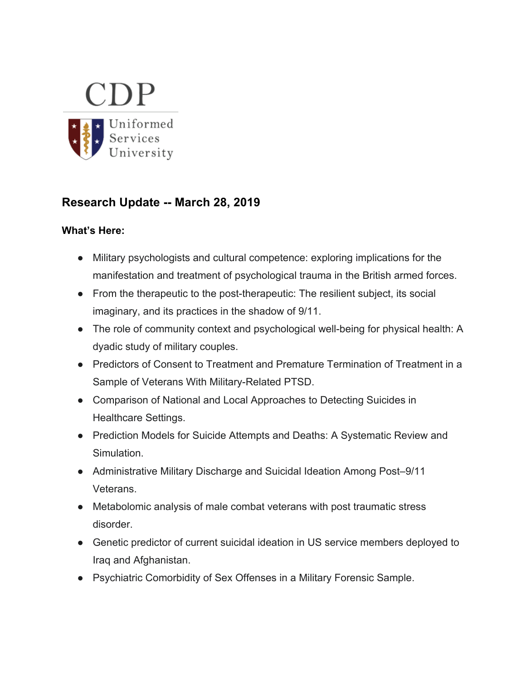

# **Research Update -- March 28, 2019**

## **What's Here:**

- Military psychologists and cultural competence: exploring implications for the manifestation and treatment of psychological trauma in the British armed forces.
- From the therapeutic to the post-therapeutic: The resilient subject, its social imaginary, and its practices in the shadow of 9/11.
- The role of community context and psychological well-being for physical health: A dyadic study of military couples.
- Predictors of Consent to Treatment and Premature Termination of Treatment in a Sample of Veterans With Military-Related PTSD.
- Comparison of National and Local Approaches to Detecting Suicides in Healthcare Settings.
- Prediction Models for Suicide Attempts and Deaths: A Systematic Review and Simulation.
- Administrative Military Discharge and Suicidal Ideation Among Post–9/11 Veterans.
- Metabolomic analysis of male combat veterans with post traumatic stress disorder.
- Genetic predictor of current suicidal ideation in US service members deployed to Iraq and Afghanistan.
- Psychiatric Comorbidity of Sex Offenses in a Military Forensic Sample.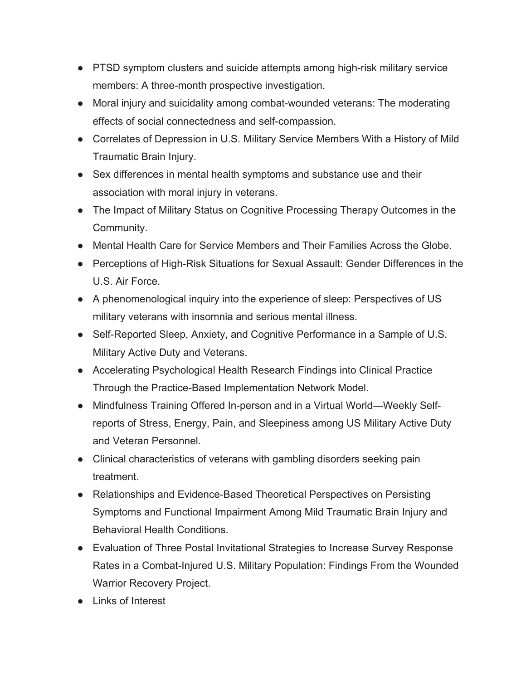- PTSD symptom clusters and suicide attempts among high-risk military service members: A three-month prospective investigation.
- Moral injury and suicidality among combat-wounded veterans: The moderating effects of social connectedness and self-compassion.
- Correlates of Depression in U.S. Military Service Members With a History of Mild Traumatic Brain Injury.
- Sex differences in mental health symptoms and substance use and their association with moral injury in veterans.
- The Impact of Military Status on Cognitive Processing Therapy Outcomes in the Community.
- Mental Health Care for Service Members and Their Families Across the Globe.
- Perceptions of High-Risk Situations for Sexual Assault: Gender Differences in the U.S. Air Force.
- A phenomenological inquiry into the experience of sleep: Perspectives of US military veterans with insomnia and serious mental illness.
- Self-Reported Sleep, Anxiety, and Cognitive Performance in a Sample of U.S. Military Active Duty and Veterans.
- Accelerating Psychological Health Research Findings into Clinical Practice Through the Practice-Based Implementation Network Model.
- Mindfulness Training Offered In-person and in a Virtual World—Weekly Selfreports of Stress, Energy, Pain, and Sleepiness among US Military Active Duty and Veteran Personnel.
- Clinical characteristics of veterans with gambling disorders seeking pain treatment.
- Relationships and Evidence-Based Theoretical Perspectives on Persisting Symptoms and Functional Impairment Among Mild Traumatic Brain Injury and Behavioral Health Conditions.
- Evaluation of Three Postal Invitational Strategies to Increase Survey Response Rates in a Combat-Injured U.S. Military Population: Findings From the Wounded Warrior Recovery Project.
- Links of Interest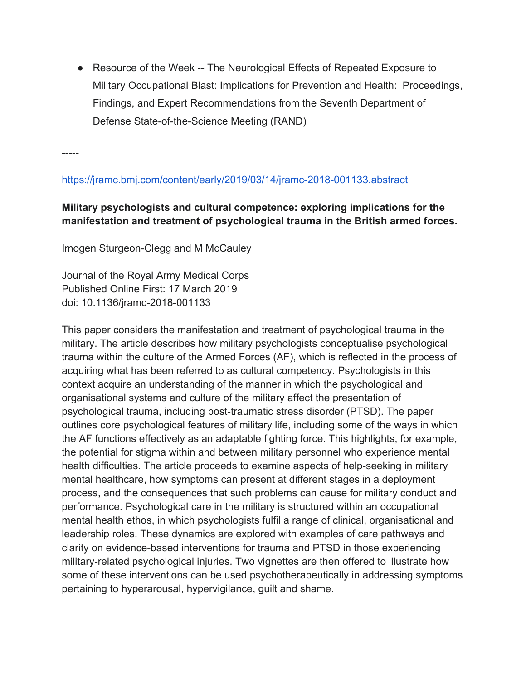• Resource of the Week -- The Neurological Effects of Repeated Exposure to Military Occupational Blast: Implications for Prevention and Health: Proceedings, Findings, and Expert Recommendations from the Seventh Department of Defense State-of-the-Science Meeting (RAND)

-----

https://jramc.bmj.com/content/early/2019/03/14/jramc-2018-001133.abstract

## **Military psychologists and cultural competence: exploring implications for the manifestation and treatment of psychological trauma in the British armed forces.**

Imogen Sturgeon-Clegg and M McCauley

Journal of the Royal Army Medical Corps Published Online First: 17 March 2019 doi: 10.1136/jramc-2018-001133

This paper considers the manifestation and treatment of psychological trauma in the military. The article describes how military psychologists conceptualise psychological trauma within the culture of the Armed Forces (AF), which is reflected in the process of acquiring what has been referred to as cultural competency. Psychologists in this context acquire an understanding of the manner in which the psychological and organisational systems and culture of the military affect the presentation of psychological trauma, including post-traumatic stress disorder (PTSD). The paper outlines core psychological features of military life, including some of the ways in which the AF functions effectively as an adaptable fighting force. This highlights, for example, the potential for stigma within and between military personnel who experience mental health difficulties. The article proceeds to examine aspects of help-seeking in military mental healthcare, how symptoms can present at different stages in a deployment process, and the consequences that such problems can cause for military conduct and performance. Psychological care in the military is structured within an occupational mental health ethos, in which psychologists fulfil a range of clinical, organisational and leadership roles. These dynamics are explored with examples of care pathways and clarity on evidence-based interventions for trauma and PTSD in those experiencing military-related psychological injuries. Two vignettes are then offered to illustrate how some of these interventions can be used psychotherapeutically in addressing symptoms pertaining to hyperarousal, hypervigilance, guilt and shame.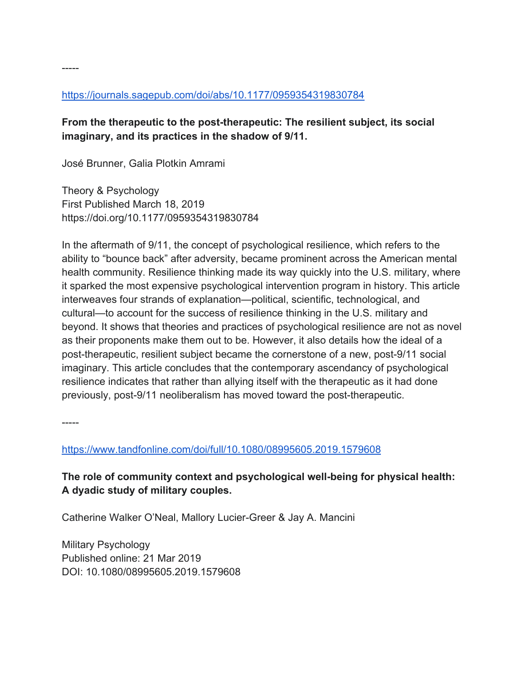## https://journals.sagepub.com/doi/abs/10.1177/0959354319830784

## **From the therapeutic to the post-therapeutic: The resilient subject, its social imaginary, and its practices in the shadow of 9/11.**

José Brunner, Galia Plotkin Amrami

Theory & Psychology First Published March 18, 2019 https://doi.org/10.1177/0959354319830784

In the aftermath of 9/11, the concept of psychological resilience, which refers to the ability to "bounce back" after adversity, became prominent across the American mental health community. Resilience thinking made its way quickly into the U.S. military, where it sparked the most expensive psychological intervention program in history. This article interweaves four strands of explanation—political, scientific, technological, and cultural—to account for the success of resilience thinking in the U.S. military and beyond. It shows that theories and practices of psychological resilience are not as novel as their proponents make them out to be. However, it also details how the ideal of a post-therapeutic, resilient subject became the cornerstone of a new, post-9/11 social imaginary. This article concludes that the contemporary ascendancy of psychological resilience indicates that rather than allying itself with the therapeutic as it had done previously, post-9/11 neoliberalism has moved toward the post-therapeutic.

-----

-----

https://www.tandfonline.com/doi/full/10.1080/08995605.2019.1579608

**The role of community context and psychological well-being for physical health: A dyadic study of military couples.**

Catherine Walker O'Neal, Mallory Lucier-Greer & Jay A. Mancini

Military Psychology Published online: 21 Mar 2019 DOI: 10.1080/08995605.2019.1579608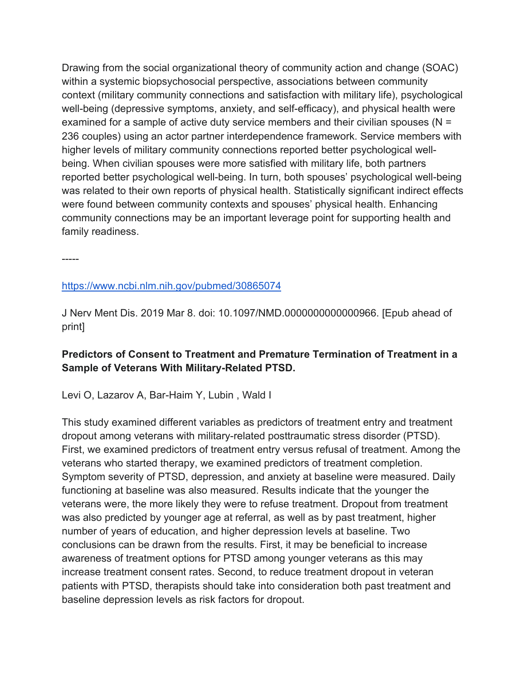Drawing from the social organizational theory of community action and change (SOAC) within a systemic biopsychosocial perspective, associations between community context (military community connections and satisfaction with military life), psychological well-being (depressive symptoms, anxiety, and self-efficacy), and physical health were examined for a sample of active duty service members and their civilian spouses (N = 236 couples) using an actor partner interdependence framework. Service members with higher levels of military community connections reported better psychological wellbeing. When civilian spouses were more satisfied with military life, both partners reported better psychological well-being. In turn, both spouses' psychological well-being was related to their own reports of physical health. Statistically significant indirect effects were found between community contexts and spouses' physical health. Enhancing community connections may be an important leverage point for supporting health and family readiness.

-----

### https://www.ncbi.nlm.nih.gov/pubmed/30865074

J Nerv Ment Dis. 2019 Mar 8. doi: 10.1097/NMD.0000000000000966. [Epub ahead of print]

## **Predictors of Consent to Treatment and Premature Termination of Treatment in a Sample of Veterans With Military-Related PTSD.**

Levi O, Lazarov A, Bar-Haim Y, Lubin , Wald I

This study examined different variables as predictors of treatment entry and treatment dropout among veterans with military-related posttraumatic stress disorder (PTSD). First, we examined predictors of treatment entry versus refusal of treatment. Among the veterans who started therapy, we examined predictors of treatment completion. Symptom severity of PTSD, depression, and anxiety at baseline were measured. Daily functioning at baseline was also measured. Results indicate that the younger the veterans were, the more likely they were to refuse treatment. Dropout from treatment was also predicted by younger age at referral, as well as by past treatment, higher number of years of education, and higher depression levels at baseline. Two conclusions can be drawn from the results. First, it may be beneficial to increase awareness of treatment options for PTSD among younger veterans as this may increase treatment consent rates. Second, to reduce treatment dropout in veteran patients with PTSD, therapists should take into consideration both past treatment and baseline depression levels as risk factors for dropout.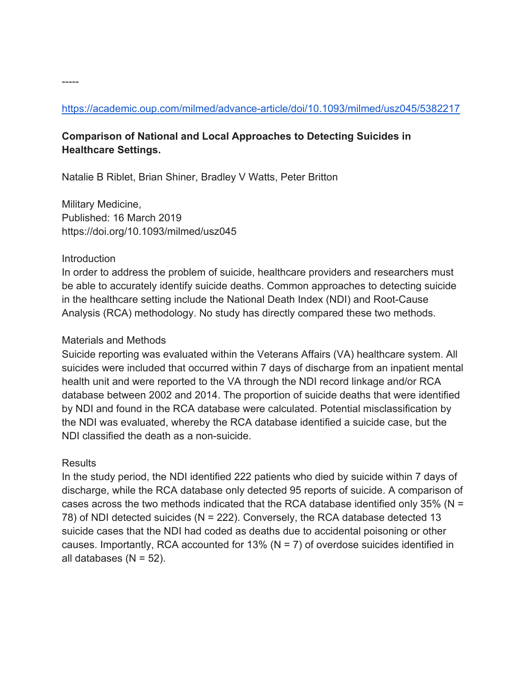## https://academic.oup.com/milmed/advance-article/doi/10.1093/milmed/usz045/5382217

## **Comparison of National and Local Approaches to Detecting Suicides in Healthcare Settings.**

Natalie B Riblet, Brian Shiner, Bradley V Watts, Peter Britton

Military Medicine, Published: 16 March 2019 https://doi.org/10.1093/milmed/usz045

#### **Introduction**

In order to address the problem of suicide, healthcare providers and researchers must be able to accurately identify suicide deaths. Common approaches to detecting suicide in the healthcare setting include the National Death Index (NDI) and Root-Cause Analysis (RCA) methodology. No study has directly compared these two methods.

### Materials and Methods

Suicide reporting was evaluated within the Veterans Affairs (VA) healthcare system. All suicides were included that occurred within 7 days of discharge from an inpatient mental health unit and were reported to the VA through the NDI record linkage and/or RCA database between 2002 and 2014. The proportion of suicide deaths that were identified by NDI and found in the RCA database were calculated. Potential misclassification by the NDI was evaluated, whereby the RCA database identified a suicide case, but the NDI classified the death as a non-suicide.

## **Results**

In the study period, the NDI identified 222 patients who died by suicide within 7 days of discharge, while the RCA database only detected 95 reports of suicide. A comparison of cases across the two methods indicated that the RCA database identified only 35% ( $N =$ 78) of NDI detected suicides (N = 222). Conversely, the RCA database detected 13 suicide cases that the NDI had coded as deaths due to accidental poisoning or other causes. Importantly, RCA accounted for 13% ( $N = 7$ ) of overdose suicides identified in all databases  $(N = 52)$ .

-----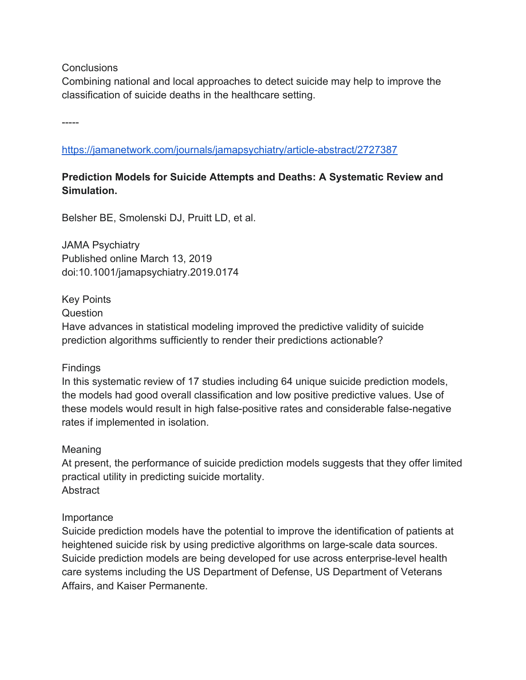**Conclusions** 

Combining national and local approaches to detect suicide may help to improve the classification of suicide deaths in the healthcare setting.

-----

https://jamanetwork.com/journals/jamapsychiatry/article-abstract/2727387

## **Prediction Models for Suicide Attempts and Deaths: A Systematic Review and Simulation.**

Belsher BE, Smolenski DJ, Pruitt LD, et al.

JAMA Psychiatry Published online March 13, 2019 doi:10.1001/jamapsychiatry.2019.0174

Key Points

Question

Have advances in statistical modeling improved the predictive validity of suicide prediction algorithms sufficiently to render their predictions actionable?

## Findings

In this systematic review of 17 studies including 64 unique suicide prediction models, the models had good overall classification and low positive predictive values. Use of these models would result in high false-positive rates and considerable false-negative rates if implemented in isolation.

#### Meaning

At present, the performance of suicide prediction models suggests that they offer limited practical utility in predicting suicide mortality. **Abstract** 

#### Importance

Suicide prediction models have the potential to improve the identification of patients at heightened suicide risk by using predictive algorithms on large-scale data sources. Suicide prediction models are being developed for use across enterprise-level health care systems including the US Department of Defense, US Department of Veterans Affairs, and Kaiser Permanente.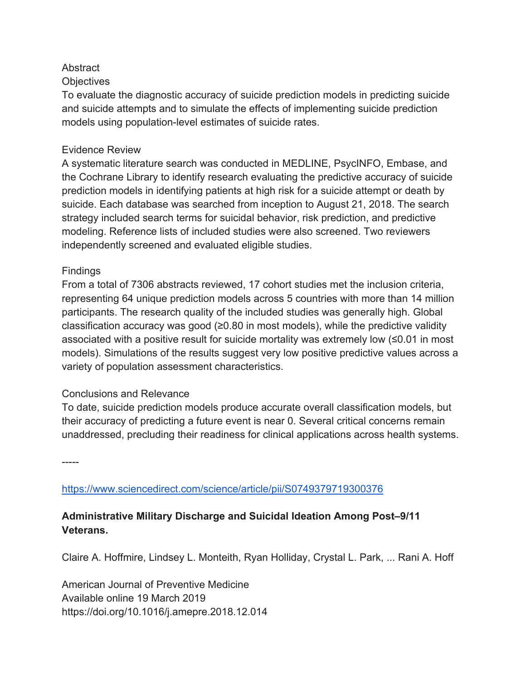## **Abstract**

### **Objectives**

To evaluate the diagnostic accuracy of suicide prediction models in predicting suicide and suicide attempts and to simulate the effects of implementing suicide prediction models using population-level estimates of suicide rates.

### Evidence Review

A systematic literature search was conducted in MEDLINE, PsycINFO, Embase, and the Cochrane Library to identify research evaluating the predictive accuracy of suicide prediction models in identifying patients at high risk for a suicide attempt or death by suicide. Each database was searched from inception to August 21, 2018. The search strategy included search terms for suicidal behavior, risk prediction, and predictive modeling. Reference lists of included studies were also screened. Two reviewers independently screened and evaluated eligible studies.

### Findings

From a total of 7306 abstracts reviewed, 17 cohort studies met the inclusion criteria, representing 64 unique prediction models across 5 countries with more than 14 million participants. The research quality of the included studies was generally high. Global classification accuracy was good (≥0.80 in most models), while the predictive validity associated with a positive result for suicide mortality was extremely low (≤0.01 in most models). Simulations of the results suggest very low positive predictive values across a variety of population assessment characteristics.

#### Conclusions and Relevance

To date, suicide prediction models produce accurate overall classification models, but their accuracy of predicting a future event is near 0. Several critical concerns remain unaddressed, precluding their readiness for clinical applications across health systems.

-----

https://www.sciencedirect.com/science/article/pii/S0749379719300376

## **Administrative Military Discharge and Suicidal Ideation Among Post–9/11 Veterans.**

Claire A. Hoffmire, Lindsey L. Monteith, Ryan Holliday, Crystal L. Park, ... Rani A. Hoff

American Journal of Preventive Medicine Available online 19 March 2019 https://doi.org/10.1016/j.amepre.2018.12.014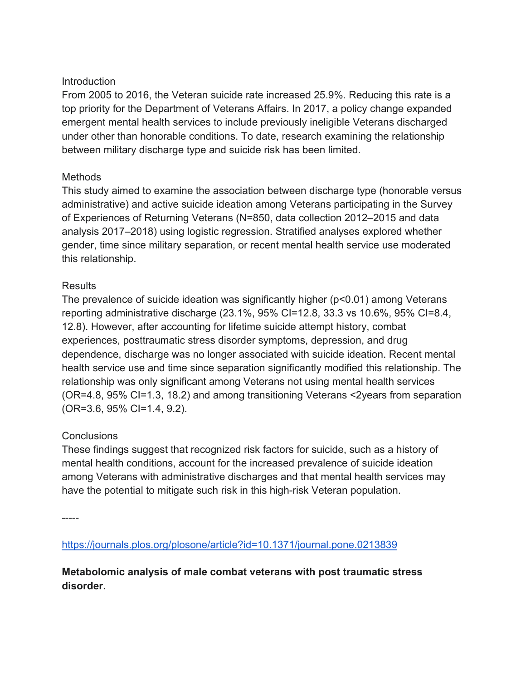## Introduction

From 2005 to 2016, the Veteran suicide rate increased 25.9%. Reducing this rate is a top priority for the Department of Veterans Affairs. In 2017, a policy change expanded emergent mental health services to include previously ineligible Veterans discharged under other than honorable conditions. To date, research examining the relationship between military discharge type and suicide risk has been limited.

### **Methods**

This study aimed to examine the association between discharge type (honorable versus administrative) and active suicide ideation among Veterans participating in the Survey of Experiences of Returning Veterans (N=850, data collection 2012–2015 and data analysis 2017–2018) using logistic regression. Stratified analyses explored whether gender, time since military separation, or recent mental health service use moderated this relationship.

### Results

The prevalence of suicide ideation was significantly higher (p<0.01) among Veterans reporting administrative discharge (23.1%, 95% CI=12.8, 33.3 vs 10.6%, 95% CI=8.4, 12.8). However, after accounting for lifetime suicide attempt history, combat experiences, posttraumatic stress disorder symptoms, depression, and drug dependence, discharge was no longer associated with suicide ideation. Recent mental health service use and time since separation significantly modified this relationship. The relationship was only significant among Veterans not using mental health services (OR=4.8, 95% CI=1.3, 18.2) and among transitioning Veterans <2years from separation (OR=3.6, 95% CI=1.4, 9.2).

## **Conclusions**

These findings suggest that recognized risk factors for suicide, such as a history of mental health conditions, account for the increased prevalence of suicide ideation among Veterans with administrative discharges and that mental health services may have the potential to mitigate such risk in this high-risk Veteran population.

-----

https://journals.plos.org/plosone/article?id=10.1371/journal.pone.0213839

**Metabolomic analysis of male combat veterans with post traumatic stress disorder.**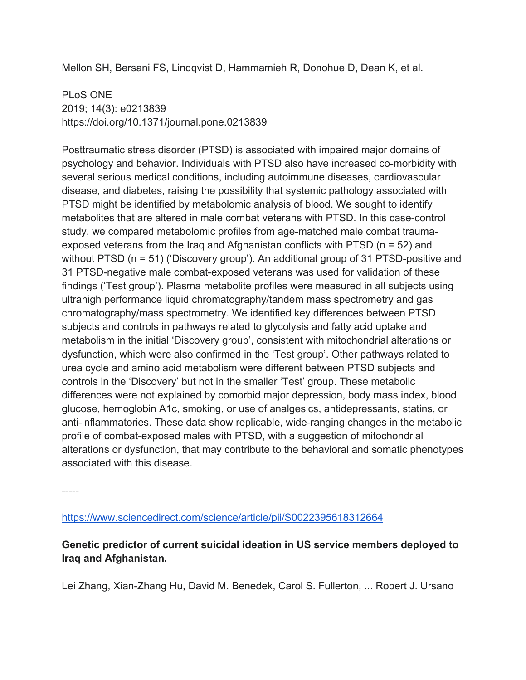Mellon SH, Bersani FS, Lindqvist D, Hammamieh R, Donohue D, Dean K, et al.

PLoS ONE 2019; 14(3): e0213839 https://doi.org/10.1371/journal.pone.0213839

Posttraumatic stress disorder (PTSD) is associated with impaired major domains of psychology and behavior. Individuals with PTSD also have increased co-morbidity with several serious medical conditions, including autoimmune diseases, cardiovascular disease, and diabetes, raising the possibility that systemic pathology associated with PTSD might be identified by metabolomic analysis of blood. We sought to identify metabolites that are altered in male combat veterans with PTSD. In this case-control study, we compared metabolomic profiles from age-matched male combat traumaexposed veterans from the Iraq and Afghanistan conflicts with PTSD (n = 52) and without PTSD (n = 51) ('Discovery group'). An additional group of 31 PTSD-positive and 31 PTSD-negative male combat-exposed veterans was used for validation of these findings ('Test group'). Plasma metabolite profiles were measured in all subjects using ultrahigh performance liquid chromatography/tandem mass spectrometry and gas chromatography/mass spectrometry. We identified key differences between PTSD subjects and controls in pathways related to glycolysis and fatty acid uptake and metabolism in the initial 'Discovery group', consistent with mitochondrial alterations or dysfunction, which were also confirmed in the 'Test group'. Other pathways related to urea cycle and amino acid metabolism were different between PTSD subjects and controls in the 'Discovery' but not in the smaller 'Test' group. These metabolic differences were not explained by comorbid major depression, body mass index, blood glucose, hemoglobin A1c, smoking, or use of analgesics, antidepressants, statins, or anti-inflammatories. These data show replicable, wide-ranging changes in the metabolic profile of combat-exposed males with PTSD, with a suggestion of mitochondrial alterations or dysfunction, that may contribute to the behavioral and somatic phenotypes associated with this disease.

-----

https://www.sciencedirect.com/science/article/pii/S0022395618312664

**Genetic predictor of current suicidal ideation in US service members deployed to Iraq and Afghanistan.**

Lei Zhang, Xian-Zhang Hu, David M. Benedek, Carol S. Fullerton, ... Robert J. Ursano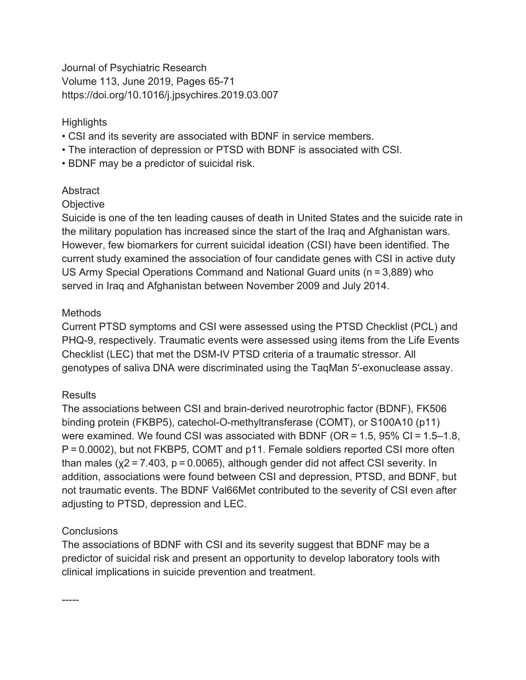Journal of Psychiatric Research Volume 113, June 2019, Pages 65-71 https://doi.org/10.1016/j.jpsychires.2019.03.007

## **Highlights**

- CSI and its severity are associated with BDNF in service members.
- The interaction of depression or PTSD with BDNF is associated with CSI.
- BDNF may be a predictor of suicidal risk.

## **Abstract**

## **Objective**

Suicide is one of the ten leading causes of death in United States and the suicide rate in the military population has increased since the start of the Iraq and Afghanistan wars. However, few biomarkers for current suicidal ideation (CSI) have been identified. The current study examined the association of four candidate genes with CSI in active duty US Army Special Operations Command and National Guard units (n = 3,889) who served in Iraq and Afghanistan between November 2009 and July 2014.

## Methods

Current PTSD symptoms and CSI were assessed using the PTSD Checklist (PCL) and PHQ-9, respectively. Traumatic events were assessed using items from the Life Events Checklist (LEC) that met the DSM-IV PTSD criteria of a traumatic stressor. All genotypes of saliva DNA were discriminated using the TaqMan 5′-exonuclease assay.

## **Results**

The associations between CSI and brain-derived neurotrophic factor (BDNF), FK506 binding protein (FKBP5), catechol-O-methyltransferase (COMT), or S100A10 (p11) were examined. We found CSI was associated with BDNF (OR = 1.5, 95% CI = 1.5–1.8, P = 0.0002), but not FKBP5, COMT and p11. Female soldiers reported CSI more often than males ( $x^2 = 7.403$ ,  $p = 0.0065$ ), although gender did not affect CSI severity. In addition, associations were found between CSI and depression, PTSD, and BDNF, but not traumatic events. The BDNF Val66Met contributed to the severity of CSI even after adjusting to PTSD, depression and LEC.

## **Conclusions**

-----

The associations of BDNF with CSI and its severity suggest that BDNF may be a predictor of suicidal risk and present an opportunity to develop laboratory tools with clinical implications in suicide prevention and treatment.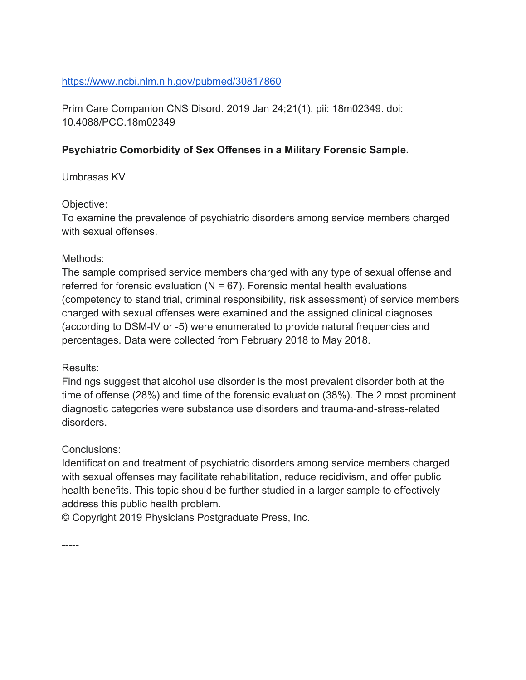## https://www.ncbi.nlm.nih.gov/pubmed/30817860

Prim Care Companion CNS Disord. 2019 Jan 24;21(1). pii: 18m02349. doi: 10.4088/PCC.18m02349

## **Psychiatric Comorbidity of Sex Offenses in a Military Forensic Sample.**

## Umbrasas KV

### Objective:

To examine the prevalence of psychiatric disorders among service members charged with sexual offenses.

### Methods:

The sample comprised service members charged with any type of sexual offense and referred for forensic evaluation  $(N = 67)$ . Forensic mental health evaluations (competency to stand trial, criminal responsibility, risk assessment) of service members charged with sexual offenses were examined and the assigned clinical diagnoses (according to DSM-IV or -5) were enumerated to provide natural frequencies and percentages. Data were collected from February 2018 to May 2018.

## Results:

Findings suggest that alcohol use disorder is the most prevalent disorder both at the time of offense (28%) and time of the forensic evaluation (38%). The 2 most prominent diagnostic categories were substance use disorders and trauma-and-stress-related disorders.

## Conclusions:

Identification and treatment of psychiatric disorders among service members charged with sexual offenses may facilitate rehabilitation, reduce recidivism, and offer public health benefits. This topic should be further studied in a larger sample to effectively address this public health problem.

© Copyright 2019 Physicians Postgraduate Press, Inc.

-----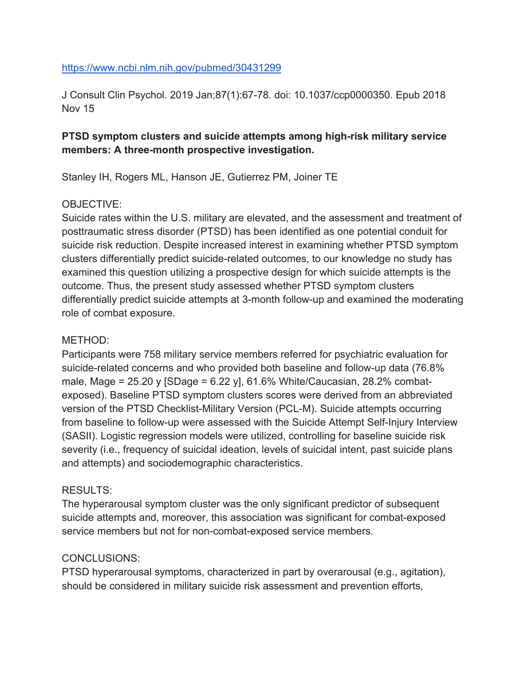#### https://www.ncbi.nlm.nih.gov/pubmed/30431299

J Consult Clin Psychol. 2019 Jan;87(1):67-78. doi: 10.1037/ccp0000350. Epub 2018 Nov 15

## **PTSD symptom clusters and suicide attempts among high-risk military service members: A three-month prospective investigation.**

Stanley IH, Rogers ML, Hanson JE, Gutierrez PM, Joiner TE

### OBJECTIVE:

Suicide rates within the U.S. military are elevated, and the assessment and treatment of posttraumatic stress disorder (PTSD) has been identified as one potential conduit for suicide risk reduction. Despite increased interest in examining whether PTSD symptom clusters differentially predict suicide-related outcomes, to our knowledge no study has examined this question utilizing a prospective design for which suicide attempts is the outcome. Thus, the present study assessed whether PTSD symptom clusters differentially predict suicide attempts at 3-month follow-up and examined the moderating role of combat exposure.

#### METHOD:

Participants were 758 military service members referred for psychiatric evaluation for suicide-related concerns and who provided both baseline and follow-up data (76.8% male, Mage = 25.20 y [SDage = 6.22 y], 61.6% White/Caucasian, 28.2% combatexposed). Baseline PTSD symptom clusters scores were derived from an abbreviated version of the PTSD Checklist-Military Version (PCL-M). Suicide attempts occurring from baseline to follow-up were assessed with the Suicide Attempt Self-Injury Interview (SASII). Logistic regression models were utilized, controlling for baseline suicide risk severity (i.e., frequency of suicidal ideation, levels of suicidal intent, past suicide plans and attempts) and sociodemographic characteristics.

## RESULTS:

The hyperarousal symptom cluster was the only significant predictor of subsequent suicide attempts and, moreover, this association was significant for combat-exposed service members but not for non-combat-exposed service members.

#### CONCLUSIONS:

PTSD hyperarousal symptoms, characterized in part by overarousal (e.g., agitation), should be considered in military suicide risk assessment and prevention efforts,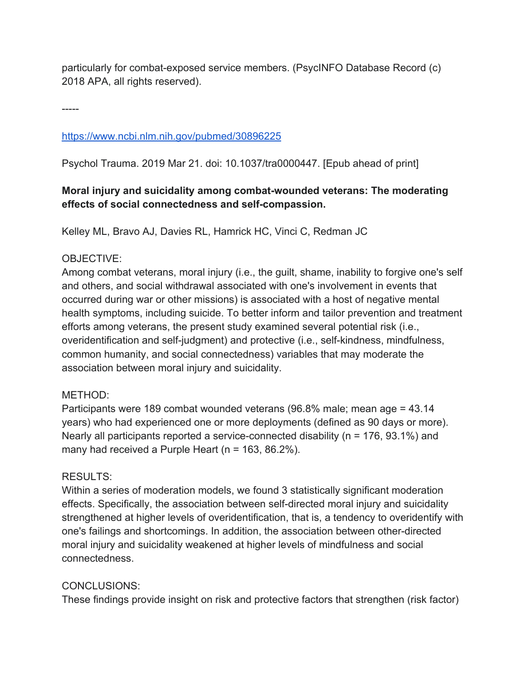particularly for combat-exposed service members. (PsycINFO Database Record (c) 2018 APA, all rights reserved).

-----

https://www.ncbi.nlm.nih.gov/pubmed/30896225

Psychol Trauma. 2019 Mar 21. doi: 10.1037/tra0000447. [Epub ahead of print]

## **Moral injury and suicidality among combat-wounded veterans: The moderating effects of social connectedness and self-compassion.**

Kelley ML, Bravo AJ, Davies RL, Hamrick HC, Vinci C, Redman JC

## OBJECTIVE:

Among combat veterans, moral injury (i.e., the guilt, shame, inability to forgive one's self and others, and social withdrawal associated with one's involvement in events that occurred during war or other missions) is associated with a host of negative mental health symptoms, including suicide. To better inform and tailor prevention and treatment efforts among veterans, the present study examined several potential risk (i.e., overidentification and self-judgment) and protective (i.e., self-kindness, mindfulness, common humanity, and social connectedness) variables that may moderate the association between moral injury and suicidality.

## METHOD:

Participants were 189 combat wounded veterans (96.8% male; mean age = 43.14 years) who had experienced one or more deployments (defined as 90 days or more). Nearly all participants reported a service-connected disability (n = 176, 93.1%) and many had received a Purple Heart (n = 163, 86.2%).

## RESULTS:

Within a series of moderation models, we found 3 statistically significant moderation effects. Specifically, the association between self-directed moral injury and suicidality strengthened at higher levels of overidentification, that is, a tendency to overidentify with one's failings and shortcomings. In addition, the association between other-directed moral injury and suicidality weakened at higher levels of mindfulness and social connectedness.

## CONCLUSIONS:

These findings provide insight on risk and protective factors that strengthen (risk factor)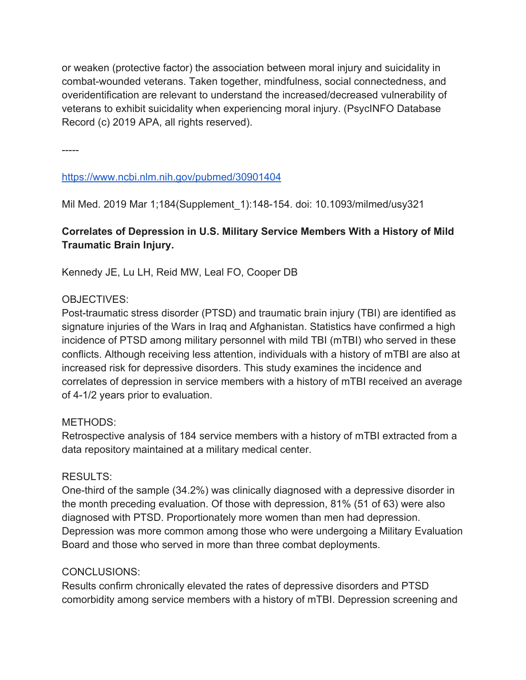or weaken (protective factor) the association between moral injury and suicidality in combat-wounded veterans. Taken together, mindfulness, social connectedness, and overidentification are relevant to understand the increased/decreased vulnerability of veterans to exhibit suicidality when experiencing moral injury. (PsycINFO Database Record (c) 2019 APA, all rights reserved).

-----

## https://www.ncbi.nlm.nih.gov/pubmed/30901404

Mil Med. 2019 Mar 1;184(Supplement\_1):148-154. doi: 10.1093/milmed/usy321

## **Correlates of Depression in U.S. Military Service Members With a History of Mild Traumatic Brain Injury.**

Kennedy JE, Lu LH, Reid MW, Leal FO, Cooper DB

## OBJECTIVES:

Post-traumatic stress disorder (PTSD) and traumatic brain injury (TBI) are identified as signature injuries of the Wars in Iraq and Afghanistan. Statistics have confirmed a high incidence of PTSD among military personnel with mild TBI (mTBI) who served in these conflicts. Although receiving less attention, individuals with a history of mTBI are also at increased risk for depressive disorders. This study examines the incidence and correlates of depression in service members with a history of mTBI received an average of 4-1/2 years prior to evaluation.

## METHODS:

Retrospective analysis of 184 service members with a history of mTBI extracted from a data repository maintained at a military medical center.

## RESULTS:

One-third of the sample (34.2%) was clinically diagnosed with a depressive disorder in the month preceding evaluation. Of those with depression, 81% (51 of 63) were also diagnosed with PTSD. Proportionately more women than men had depression. Depression was more common among those who were undergoing a Military Evaluation Board and those who served in more than three combat deployments.

## CONCLUSIONS:

Results confirm chronically elevated the rates of depressive disorders and PTSD comorbidity among service members with a history of mTBI. Depression screening and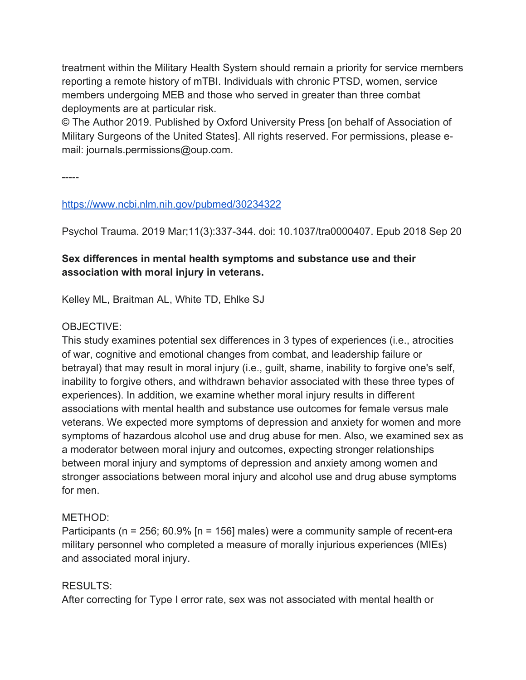treatment within the Military Health System should remain a priority for service members reporting a remote history of mTBI. Individuals with chronic PTSD, women, service members undergoing MEB and those who served in greater than three combat deployments are at particular risk.

© The Author 2019. Published by Oxford University Press [on behalf of Association of Military Surgeons of the United States]. All rights reserved. For permissions, please email: journals.permissions@oup.com.

-----

## https://www.ncbi.nlm.nih.gov/pubmed/30234322

Psychol Trauma. 2019 Mar;11(3):337-344. doi: 10.1037/tra0000407. Epub 2018 Sep 20

## **Sex differences in mental health symptoms and substance use and their association with moral injury in veterans.**

Kelley ML, Braitman AL, White TD, Ehlke SJ

## OBJECTIVE:

This study examines potential sex differences in 3 types of experiences (i.e., atrocities of war, cognitive and emotional changes from combat, and leadership failure or betrayal) that may result in moral injury (i.e., guilt, shame, inability to forgive one's self, inability to forgive others, and withdrawn behavior associated with these three types of experiences). In addition, we examine whether moral injury results in different associations with mental health and substance use outcomes for female versus male veterans. We expected more symptoms of depression and anxiety for women and more symptoms of hazardous alcohol use and drug abuse for men. Also, we examined sex as a moderator between moral injury and outcomes, expecting stronger relationships between moral injury and symptoms of depression and anxiety among women and stronger associations between moral injury and alcohol use and drug abuse symptoms for men.

## METHOD:

Participants (n = 256; 60.9% [n = 156] males) were a community sample of recent-era military personnel who completed a measure of morally injurious experiences (MIEs) and associated moral injury.

## RESULTS:

After correcting for Type I error rate, sex was not associated with mental health or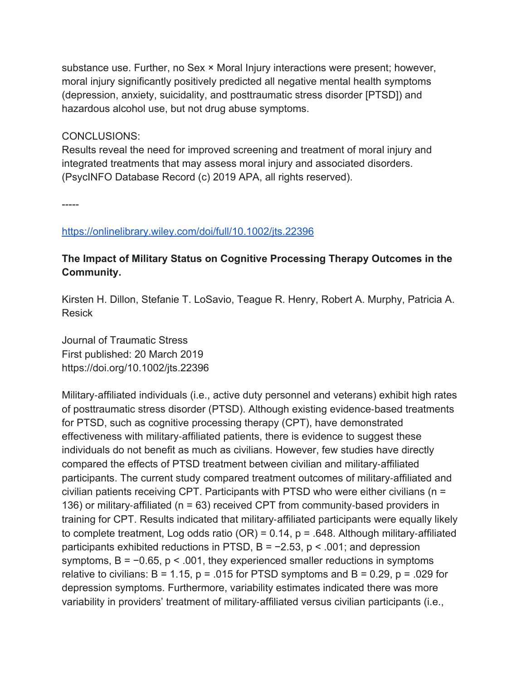substance use. Further, no Sex × Moral Injury interactions were present; however, moral injury significantly positively predicted all negative mental health symptoms (depression, anxiety, suicidality, and posttraumatic stress disorder [PTSD]) and hazardous alcohol use, but not drug abuse symptoms.

CONCLUSIONS:

Results reveal the need for improved screening and treatment of moral injury and integrated treatments that may assess moral injury and associated disorders. (PsycINFO Database Record (c) 2019 APA, all rights reserved).

-----

https://onlinelibrary.wiley.com/doi/full/10.1002/jts.22396

## **The Impact of Military Status on Cognitive Processing Therapy Outcomes in the Community.**

Kirsten H. Dillon, Stefanie T. LoSavio, Teague R. Henry, Robert A. Murphy, Patricia A. Resick

Journal of Traumatic Stress First published: 20 March 2019 https://doi.org/10.1002/jts.22396

Military-affiliated individuals (i.e., active duty personnel and veterans) exhibit high rates of posttraumatic stress disorder (PTSD). Although existing evidence-based treatments for PTSD, such as cognitive processing therapy (CPT), have demonstrated effectiveness with military-affiliated patients, there is evidence to suggest these individuals do not benefit as much as civilians. However, few studies have directly compared the effects of PTSD treatment between civilian and military-affiliated participants. The current study compared treatment outcomes of military-affiliated and civilian patients receiving CPT. Participants with PTSD who were either civilians (n = 136) or military-affiliated (n = 63) received CPT from community-based providers in training for CPT. Results indicated that military-affiliated participants were equally likely to complete treatment, Log odds ratio (OR) =  $0.14$ , p = .648. Although military-affiliated participants exhibited reductions in PTSD,  $B = -2.53$ ,  $p < .001$ ; and depression symptoms, B = −0.65, p < .001, they experienced smaller reductions in symptoms relative to civilians:  $B = 1.15$ ,  $p = .015$  for PTSD symptoms and  $B = 0.29$ ,  $p = .029$  for depression symptoms. Furthermore, variability estimates indicated there was more variability in providers' treatment of military-affiliated versus civilian participants (i.e.,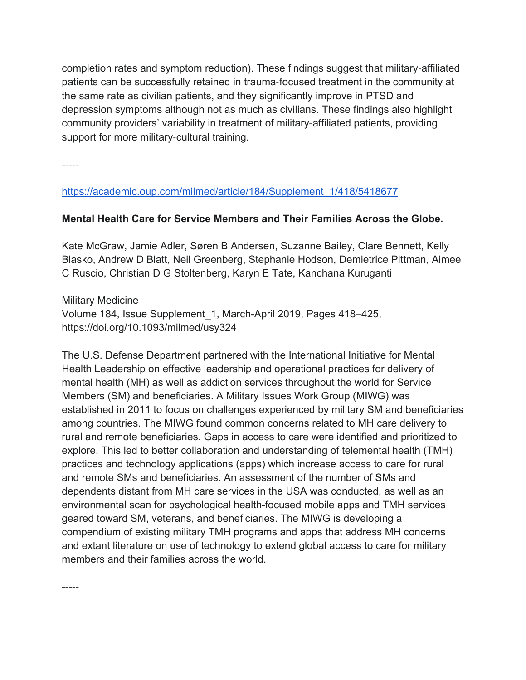completion rates and symptom reduction). These findings suggest that military-affiliated patients can be successfully retained in trauma-focused treatment in the community at the same rate as civilian patients, and they significantly improve in PTSD and depression symptoms although not as much as civilians. These findings also highlight community providers' variability in treatment of military-affiliated patients, providing support for more military-cultural training.

-----

-----

https://academic.oup.com/milmed/article/184/Supplement\_1/418/5418677

## **Mental Health Care for Service Members and Their Families Across the Globe.**

Kate McGraw, Jamie Adler, Søren B Andersen, Suzanne Bailey, Clare Bennett, Kelly Blasko, Andrew D Blatt, Neil Greenberg, Stephanie Hodson, Demietrice Pittman, Aimee C Ruscio, Christian D G Stoltenberg, Karyn E Tate, Kanchana Kuruganti

Military Medicine Volume 184, Issue Supplement\_1, March-April 2019, Pages 418–425, https://doi.org/10.1093/milmed/usy324

The U.S. Defense Department partnered with the International Initiative for Mental Health Leadership on effective leadership and operational practices for delivery of mental health (MH) as well as addiction services throughout the world for Service Members (SM) and beneficiaries. A Military Issues Work Group (MIWG) was established in 2011 to focus on challenges experienced by military SM and beneficiaries among countries. The MIWG found common concerns related to MH care delivery to rural and remote beneficiaries. Gaps in access to care were identified and prioritized to explore. This led to better collaboration and understanding of telemental health (TMH) practices and technology applications (apps) which increase access to care for rural and remote SMs and beneficiaries. An assessment of the number of SMs and dependents distant from MH care services in the USA was conducted, as well as an environmental scan for psychological health-focused mobile apps and TMH services geared toward SM, veterans, and beneficiaries. The MIWG is developing a compendium of existing military TMH programs and apps that address MH concerns and extant literature on use of technology to extend global access to care for military members and their families across the world.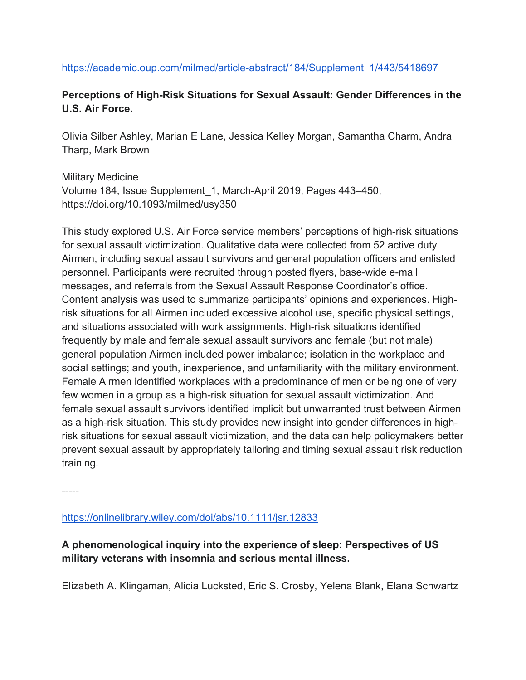### https://academic.oup.com/milmed/article-abstract/184/Supplement\_1/443/5418697

## **Perceptions of High-Risk Situations for Sexual Assault: Gender Differences in the U.S. Air Force.**

Olivia Silber Ashley, Marian E Lane, Jessica Kelley Morgan, Samantha Charm, Andra Tharp, Mark Brown

Military Medicine Volume 184, Issue Supplement\_1, March-April 2019, Pages 443–450, https://doi.org/10.1093/milmed/usy350

This study explored U.S. Air Force service members' perceptions of high-risk situations for sexual assault victimization. Qualitative data were collected from 52 active duty Airmen, including sexual assault survivors and general population officers and enlisted personnel. Participants were recruited through posted flyers, base-wide e-mail messages, and referrals from the Sexual Assault Response Coordinator's office. Content analysis was used to summarize participants' opinions and experiences. Highrisk situations for all Airmen included excessive alcohol use, specific physical settings, and situations associated with work assignments. High-risk situations identified frequently by male and female sexual assault survivors and female (but not male) general population Airmen included power imbalance; isolation in the workplace and social settings; and youth, inexperience, and unfamiliarity with the military environment. Female Airmen identified workplaces with a predominance of men or being one of very few women in a group as a high-risk situation for sexual assault victimization. And female sexual assault survivors identified implicit but unwarranted trust between Airmen as a high-risk situation. This study provides new insight into gender differences in highrisk situations for sexual assault victimization, and the data can help policymakers better prevent sexual assault by appropriately tailoring and timing sexual assault risk reduction training.

-----

https://onlinelibrary.wiley.com/doi/abs/10.1111/jsr.12833

## **A phenomenological inquiry into the experience of sleep: Perspectives of US military veterans with insomnia and serious mental illness.**

Elizabeth A. Klingaman, Alicia Lucksted, Eric S. Crosby, Yelena Blank, Elana Schwartz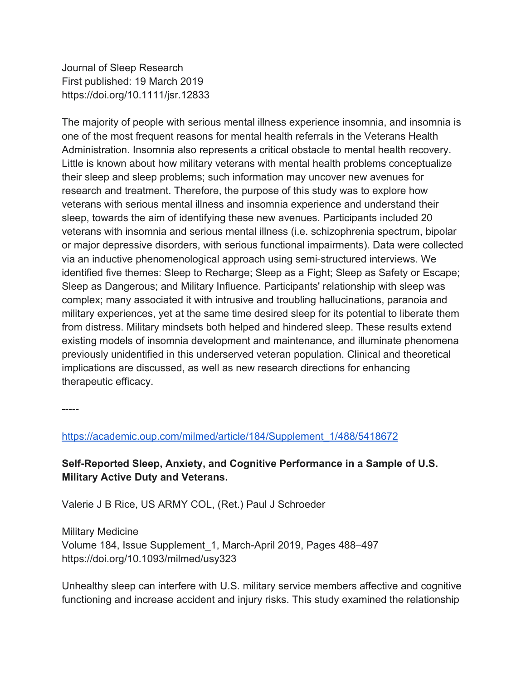Journal of Sleep Research First published: 19 March 2019 https://doi.org/10.1111/jsr.12833

The majority of people with serious mental illness experience insomnia, and insomnia is one of the most frequent reasons for mental health referrals in the Veterans Health Administration. Insomnia also represents a critical obstacle to mental health recovery. Little is known about how military veterans with mental health problems conceptualize their sleep and sleep problems; such information may uncover new avenues for research and treatment. Therefore, the purpose of this study was to explore how veterans with serious mental illness and insomnia experience and understand their sleep, towards the aim of identifying these new avenues. Participants included 20 veterans with insomnia and serious mental illness (i.e. schizophrenia spectrum, bipolar or major depressive disorders, with serious functional impairments). Data were collected via an inductive phenomenological approach using semi-structured interviews. We identified five themes: Sleep to Recharge; Sleep as a Fight; Sleep as Safety or Escape; Sleep as Dangerous; and Military Influence. Participants' relationship with sleep was complex; many associated it with intrusive and troubling hallucinations, paranoia and military experiences, yet at the same time desired sleep for its potential to liberate them from distress. Military mindsets both helped and hindered sleep. These results extend existing models of insomnia development and maintenance, and illuminate phenomena previously unidentified in this underserved veteran population. Clinical and theoretical implications are discussed, as well as new research directions for enhancing therapeutic efficacy.

-----

https://academic.oup.com/milmed/article/184/Supplement\_1/488/5418672

**Self-Reported Sleep, Anxiety, and Cognitive Performance in a Sample of U.S. Military Active Duty and Veterans.**

Valerie J B Rice, US ARMY COL, (Ret.) Paul J Schroeder

Military Medicine Volume 184, Issue Supplement\_1, March-April 2019, Pages 488–497 https://doi.org/10.1093/milmed/usy323

Unhealthy sleep can interfere with U.S. military service members affective and cognitive functioning and increase accident and injury risks. This study examined the relationship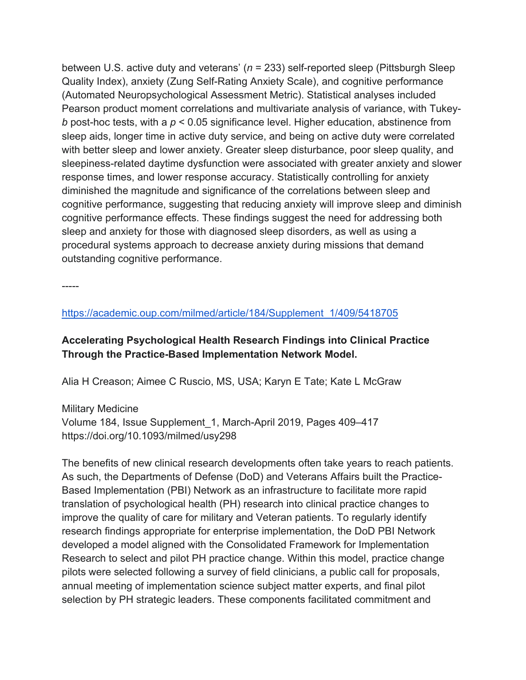between U.S. active duty and veterans' (*n* = 233) self-reported sleep (Pittsburgh Sleep Quality Index), anxiety (Zung Self-Rating Anxiety Scale), and cognitive performance (Automated Neuropsychological Assessment Metric). Statistical analyses included Pearson product moment correlations and multivariate analysis of variance, with Tukey*b* post-hoc tests, with a *p* < 0.05 significance level. Higher education, abstinence from sleep aids, longer time in active duty service, and being on active duty were correlated with better sleep and lower anxiety. Greater sleep disturbance, poor sleep quality, and sleepiness-related daytime dysfunction were associated with greater anxiety and slower response times, and lower response accuracy. Statistically controlling for anxiety diminished the magnitude and significance of the correlations between sleep and cognitive performance, suggesting that reducing anxiety will improve sleep and diminish cognitive performance effects. These findings suggest the need for addressing both sleep and anxiety for those with diagnosed sleep disorders, as well as using a procedural systems approach to decrease anxiety during missions that demand outstanding cognitive performance.

-----

https://academic.oup.com/milmed/article/184/Supplement\_1/409/5418705

## **Accelerating Psychological Health Research Findings into Clinical Practice Through the Practice-Based Implementation Network Model.**

Alia H Creason; Aimee C Ruscio, MS, USA; Karyn E Tate; Kate L McGraw

Military Medicine Volume 184, Issue Supplement\_1, March-April 2019, Pages 409–417 https://doi.org/10.1093/milmed/usy298

The benefits of new clinical research developments often take years to reach patients. As such, the Departments of Defense (DoD) and Veterans Affairs built the Practice-Based Implementation (PBI) Network as an infrastructure to facilitate more rapid translation of psychological health (PH) research into clinical practice changes to improve the quality of care for military and Veteran patients. To regularly identify research findings appropriate for enterprise implementation, the DoD PBI Network developed a model aligned with the Consolidated Framework for Implementation Research to select and pilot PH practice change. Within this model, practice change pilots were selected following a survey of field clinicians, a public call for proposals, annual meeting of implementation science subject matter experts, and final pilot selection by PH strategic leaders. These components facilitated commitment and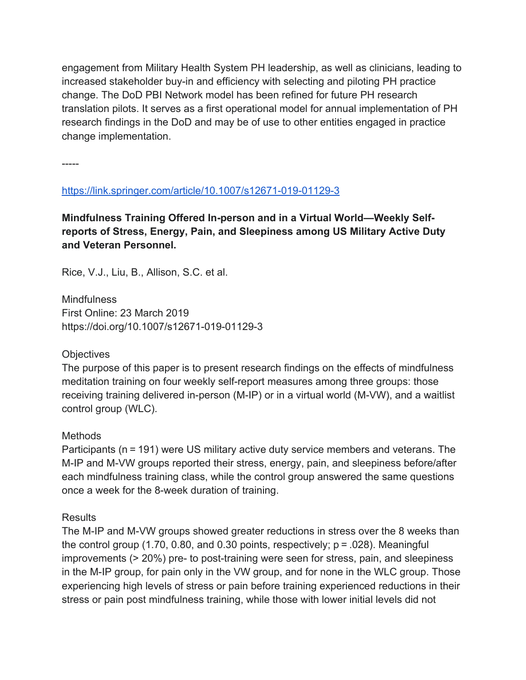engagement from Military Health System PH leadership, as well as clinicians, leading to increased stakeholder buy-in and efficiency with selecting and piloting PH practice change. The DoD PBI Network model has been refined for future PH research translation pilots. It serves as a first operational model for annual implementation of PH research findings in the DoD and may be of use to other entities engaged in practice change implementation.

-----

### https://link.springer.com/article/10.1007/s12671-019-01129-3

**Mindfulness Training Offered In-person and in a Virtual World—Weekly Selfreports of Stress, Energy, Pain, and Sleepiness among US Military Active Duty and Veteran Personnel.**

Rice, V.J., Liu, B., Allison, S.C. et al.

**Mindfulness** First Online: 23 March 2019 https://doi.org/10.1007/s12671-019-01129-3

#### **Objectives**

The purpose of this paper is to present research findings on the effects of mindfulness meditation training on four weekly self-report measures among three groups: those receiving training delivered in-person (M-IP) or in a virtual world (M-VW), and a waitlist control group (WLC).

#### **Methods**

Participants (n = 191) were US military active duty service members and veterans. The M-IP and M-VW groups reported their stress, energy, pain, and sleepiness before/after each mindfulness training class, while the control group answered the same questions once a week for the 8-week duration of training.

#### **Results**

The M-IP and M-VW groups showed greater reductions in stress over the 8 weeks than the control group (1.70, 0.80, and 0.30 points, respectively;  $p = .028$ ). Meaningful improvements (> 20%) pre- to post-training were seen for stress, pain, and sleepiness in the M-IP group, for pain only in the VW group, and for none in the WLC group. Those experiencing high levels of stress or pain before training experienced reductions in their stress or pain post mindfulness training, while those with lower initial levels did not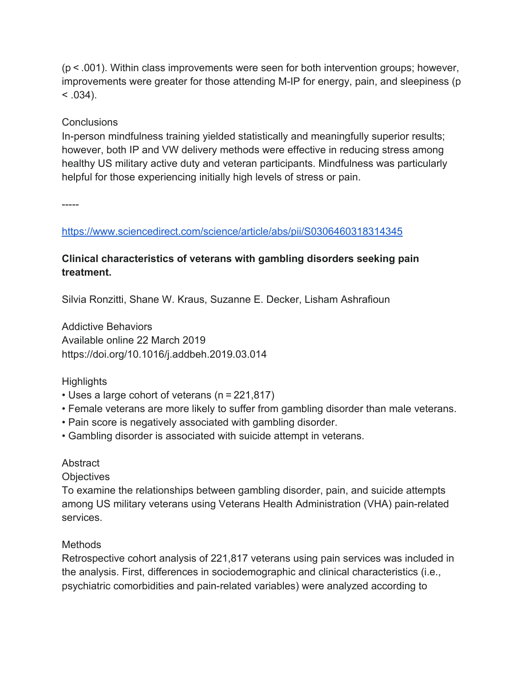(p < .001). Within class improvements were seen for both intervention groups; however, improvements were greater for those attending M-IP for energy, pain, and sleepiness (p  $< .034$ ).

### **Conclusions**

In-person mindfulness training yielded statistically and meaningfully superior results; however, both IP and VW delivery methods were effective in reducing stress among healthy US military active duty and veteran participants. Mindfulness was particularly helpful for those experiencing initially high levels of stress or pain.

-----

https://www.sciencedirect.com/science/article/abs/pii/S0306460318314345

## **Clinical characteristics of veterans with gambling disorders seeking pain treatment.**

Silvia Ronzitti, Shane W. Kraus, Suzanne E. Decker, Lisham Ashrafioun

Addictive Behaviors Available online 22 March 2019 https://doi.org/10.1016/j.addbeh.2019.03.014

#### **Highlights**

- Uses a large cohort of veterans (n = 221,817)
- Female veterans are more likely to suffer from gambling disorder than male veterans.
- Pain score is negatively associated with gambling disorder.
- Gambling disorder is associated with suicide attempt in veterans.

#### **Abstract**

**Objectives** 

To examine the relationships between gambling disorder, pain, and suicide attempts among US military veterans using Veterans Health Administration (VHA) pain-related services.

## Methods

Retrospective cohort analysis of 221,817 veterans using pain services was included in the analysis. First, differences in sociodemographic and clinical characteristics (i.e., psychiatric comorbidities and pain-related variables) were analyzed according to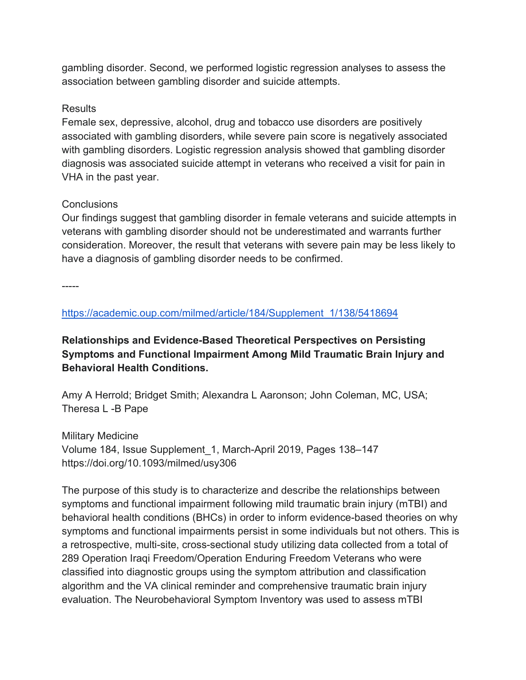gambling disorder. Second, we performed logistic regression analyses to assess the association between gambling disorder and suicide attempts.

## **Results**

Female sex, depressive, alcohol, drug and tobacco use disorders are positively associated with gambling disorders, while severe pain score is negatively associated with gambling disorders. Logistic regression analysis showed that gambling disorder diagnosis was associated suicide attempt in veterans who received a visit for pain in VHA in the past year.

## **Conclusions**

Our findings suggest that gambling disorder in female veterans and suicide attempts in veterans with gambling disorder should not be underestimated and warrants further consideration. Moreover, the result that veterans with severe pain may be less likely to have a diagnosis of gambling disorder needs to be confirmed.

-----

https://academic.oup.com/milmed/article/184/Supplement\_1/138/5418694

**Relationships and Evidence-Based Theoretical Perspectives on Persisting Symptoms and Functional Impairment Among Mild Traumatic Brain Injury and Behavioral Health Conditions.**

Amy A Herrold; Bridget Smith; Alexandra L Aaronson; John Coleman, MC, USA; Theresa L -B Pape

Military Medicine Volume 184, Issue Supplement\_1, March-April 2019, Pages 138–147 https://doi.org/10.1093/milmed/usy306

The purpose of this study is to characterize and describe the relationships between symptoms and functional impairment following mild traumatic brain injury (mTBI) and behavioral health conditions (BHCs) in order to inform evidence-based theories on why symptoms and functional impairments persist in some individuals but not others. This is a retrospective, multi-site, cross-sectional study utilizing data collected from a total of 289 Operation Iraqi Freedom/Operation Enduring Freedom Veterans who were classified into diagnostic groups using the symptom attribution and classification algorithm and the VA clinical reminder and comprehensive traumatic brain injury evaluation. The Neurobehavioral Symptom Inventory was used to assess mTBI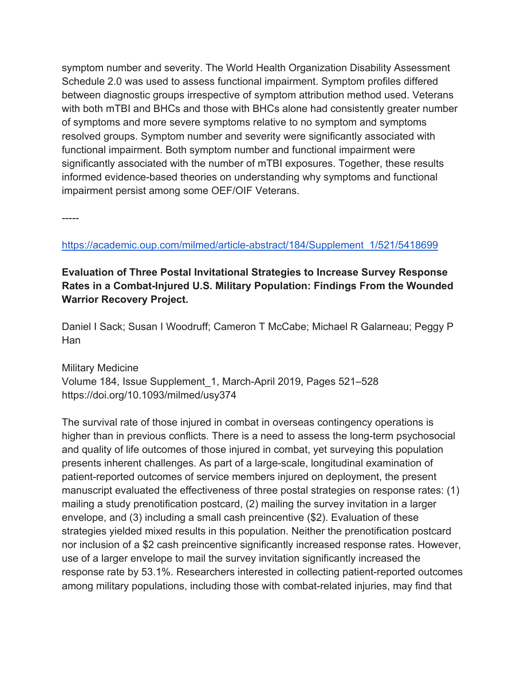symptom number and severity. The World Health Organization Disability Assessment Schedule 2.0 was used to assess functional impairment. Symptom profiles differed between diagnostic groups irrespective of symptom attribution method used. Veterans with both mTBI and BHCs and those with BHCs alone had consistently greater number of symptoms and more severe symptoms relative to no symptom and symptoms resolved groups. Symptom number and severity were significantly associated with functional impairment. Both symptom number and functional impairment were significantly associated with the number of mTBI exposures. Together, these results informed evidence-based theories on understanding why symptoms and functional impairment persist among some OEF/OIF Veterans.

-----

### https://academic.oup.com/milmed/article-abstract/184/Supplement\_1/521/5418699

## **Evaluation of Three Postal Invitational Strategies to Increase Survey Response Rates in a Combat-Injured U.S. Military Population: Findings From the Wounded Warrior Recovery Project.**

Daniel I Sack; Susan I Woodruff; Cameron T McCabe; Michael R Galarneau; Peggy P Han

Military Medicine Volume 184, Issue Supplement\_1, March-April 2019, Pages 521–528 https://doi.org/10.1093/milmed/usy374

The survival rate of those injured in combat in overseas contingency operations is higher than in previous conflicts. There is a need to assess the long-term psychosocial and quality of life outcomes of those injured in combat, yet surveying this population presents inherent challenges. As part of a large-scale, longitudinal examination of patient-reported outcomes of service members injured on deployment, the present manuscript evaluated the effectiveness of three postal strategies on response rates: (1) mailing a study prenotification postcard, (2) mailing the survey invitation in a larger envelope, and (3) including a small cash preincentive (\$2). Evaluation of these strategies yielded mixed results in this population. Neither the prenotification postcard nor inclusion of a \$2 cash preincentive significantly increased response rates. However, use of a larger envelope to mail the survey invitation significantly increased the response rate by 53.1%. Researchers interested in collecting patient-reported outcomes among military populations, including those with combat-related injuries, may find that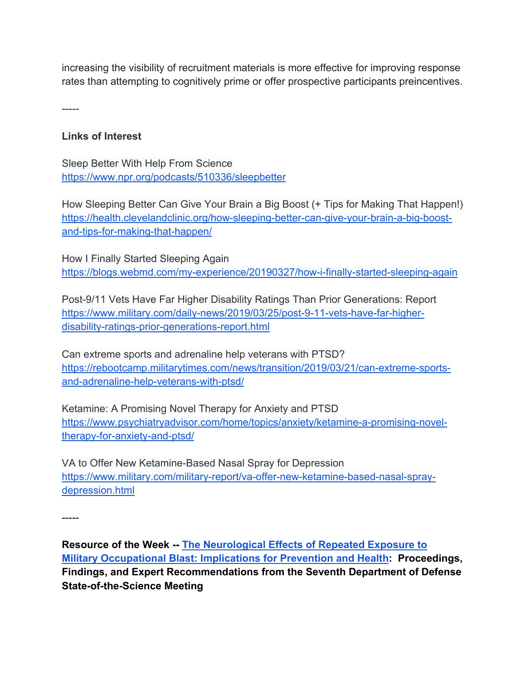increasing the visibility of recruitment materials is more effective for improving response rates than attempting to cognitively prime or offer prospective participants preincentives.

-----

## **Links of Interest**

Sleep Better With Help From Science https://www.npr.org/podcasts/510336/sleepbetter

How Sleeping Better Can Give Your Brain a Big Boost (+ Tips for Making That Happen!) https://health.clevelandclinic.org/how-sleeping-better-can-give-your-brain-a-big-boostand-tips-for-making-that-happen/

How I Finally Started Sleeping Again https://blogs.webmd.com/my-experience/20190327/how-i-finally-started-sleeping-again

Post-9/11 Vets Have Far Higher Disability Ratings Than Prior Generations: Report https://www.military.com/daily-news/2019/03/25/post-9-11-vets-have-far-higherdisability-ratings-prior-generations-report.html

Can extreme sports and adrenaline help veterans with PTSD? https://rebootcamp.militarytimes.com/news/transition/2019/03/21/can-extreme-sportsand-adrenaline-help-veterans-with-ptsd/

Ketamine: A Promising Novel Therapy for Anxiety and PTSD https://www.psychiatryadvisor.com/home/topics/anxiety/ketamine-a-promising-noveltherapy-for-anxiety-and-ptsd/

VA to Offer New Ketamine-Based Nasal Spray for Depression https://www.military.com/military-report/va-offer-new-ketamine-based-nasal-spraydepression.html

-----

**Resource of the Week -- The Neurological Effects of Repeated Exposure to Military Occupational Blast: Implications for Prevention and Health: Proceedings, Findings, and Expert Recommendations from the Seventh Department of Defense State-of-the-Science Meeting**